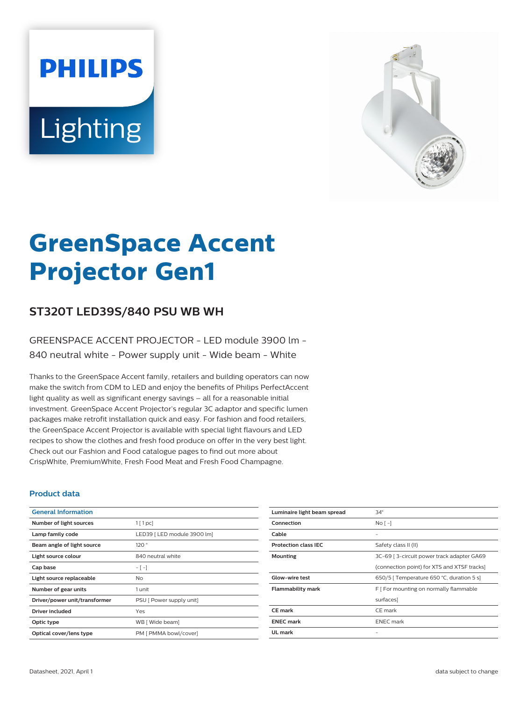# **PHILIPS** Lighting



# **GreenSpace Accent Projector Gen1**

# **ST320T LED39S/840 PSU WB WH**

### GREENSPACE ACCENT PROJECTOR - LED module 3900 lm - 840 neutral white - Power supply unit - Wide beam - White

Thanks to the GreenSpace Accent family, retailers and building operators can now make the switch from CDM to LED and enjoy the benefits of Philips PerfectAccent light quality as well as significant energy savings – all for a reasonable initial investment. GreenSpace Accent Projector's regular 3C adaptor and specific lumen packages make retrofit installation quick and easy. For fashion and food retailers, the GreenSpace Accent Projector is available with special light flavours and LED recipes to show the clothes and fresh food produce on offer in the very best light. Check out our Fashion and Food catalogue pages to find out more about CrispWhite, PremiumWhite, Fresh Food Meat and Fresh Food Champagne.

#### **Product data**

| <b>General Information</b>    |                             |
|-------------------------------|-----------------------------|
| Number of light sources       | $1$ [ 1 pc]                 |
| Lamp family code              | LED39   LED module 3900 lm] |
| Beam angle of light source    | 120°                        |
| Light source colour           | 840 neutral white           |
| Cap base                      | $-[-]$                      |
| Light source replaceable      | No.                         |
| Number of gear units          | 1 unit                      |
| Driver/power unit/transformer | PSU [ Power supply unit]    |
| Driver included               | Yes                         |
| Optic type                    | WB [ Wide beam]             |
| Optical cover/lens type       | PM [ PMMA bowl/cover]       |

| Luminaire light beam spread | $34^\circ$                                  |
|-----------------------------|---------------------------------------------|
| Connection                  | $N$ o $\lceil - \rceil$                     |
| Cable                       |                                             |
| <b>Protection class IEC</b> | Safety class II (II)                        |
| <b>Mounting</b>             | 3C-69   3-circuit power track adapter GA69  |
|                             | (connection point) for XTS and XTSF tracks] |
| Glow-wire test              | 650/5   Temperature 650 °C, duration 5 s]   |
| <b>Flammability mark</b>    | F [ For mounting on normally flammable      |
|                             | surfaces]                                   |
| <b>CE</b> mark              | CE mark                                     |
| <b>ENEC mark</b>            | <b>ENEC</b> mark                            |
| UL mark                     |                                             |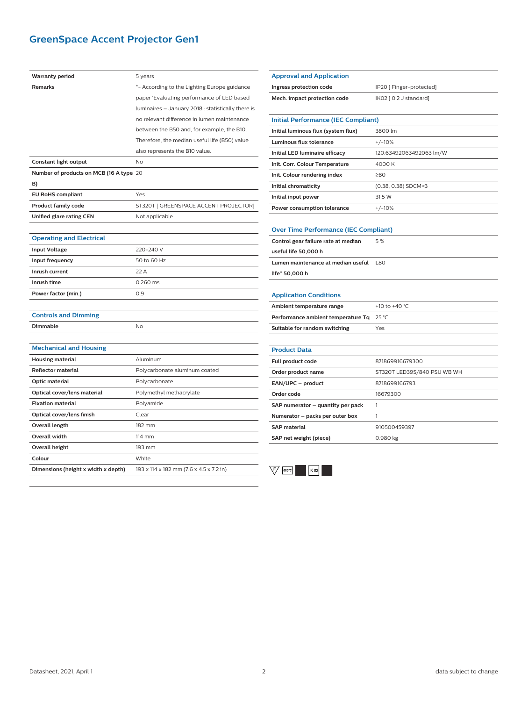# **GreenSpace Accent Projector Gen1**

| <b>Warranty period</b>                  | 5 years                                            |
|-----------------------------------------|----------------------------------------------------|
| <b>Remarks</b>                          | *- According to the Lighting Europe guidance       |
|                                         | paper 'Evaluating performance of LED based         |
|                                         | luminaires - January 2018': statistically there is |
|                                         | no relevant difference in lumen maintenance        |
|                                         | between the B50 and, for example, the B10.         |
|                                         | Therefore, the median useful life (B50) value      |
|                                         | also represents the B10 value.                     |
| Constant light output                   | N <sub>o</sub>                                     |
| Number of products on MCB (16 A type 20 |                                                    |
| B)                                      |                                                    |
| <b>EU RoHS compliant</b>                | Yes                                                |
| <b>Product family code</b>              | ST320T [ GREENSPACE ACCENT PROJECTOR]              |
| Unified glare rating CEN                | Not applicable                                     |
|                                         |                                                    |
| <b>Operating and Electrical</b>         |                                                    |
| <b>Input Voltage</b>                    | 220-240 V                                          |
| Input frequency                         | 50 to 60 Hz                                        |
| Inrush current                          | 22 A                                               |
| Inrush time                             | 0.260 ms                                           |
| Power factor (min.)                     | 0.9                                                |
|                                         |                                                    |
| <b>Controls and Dimming</b>             |                                                    |
| Dimmable                                | <b>No</b>                                          |
|                                         |                                                    |
| <b>Mechanical and Housing</b>           |                                                    |
| <b>Housing material</b>                 | Aluminum                                           |
| <b>Reflector material</b>               | Polycarbonate aluminum coated                      |
| <b>Optic material</b>                   | Polycarbonate                                      |
| Optical cover/lens material             | Polymethyl methacrylate                            |
| <b>Fixation material</b>                | Polyamide                                          |
| Optical cover/lens finish               | Clear                                              |
| <b>Overall length</b>                   | 182 mm                                             |
| <b>Overall width</b>                    | $114 \text{ mm}$                                   |
| <b>Overall height</b>                   | 193 mm                                             |
| Colour                                  | White                                              |
| Dimensions (height x width x depth)     | 193 x 114 x 182 mm (7.6 x 4.5 x 7.2 in)            |

| <b>Approval and Application</b><br>Ingress protection code<br>IP20 [ Finger-protected]<br>Mech. impact protection code<br>IK02 [ 0.2 J standard]<br><b>Initial Performance (IEC Compliant)</b><br>Initial luminous flux (system flux)<br>3800 lm<br>Luminous flux tolerance<br>$+/-10%$<br>Initial LED luminaire efficacy<br>120.63492063492063 lm/W<br>Init. Corr. Colour Temperature<br>4000 K<br>Init. Colour rendering index<br>≥80<br>(0.38, 0.38) SDCM<3<br>Initial chromaticity<br>31.5 W<br>Initial input power<br>Power consumption tolerance<br>$+/-10%$<br><b>Over Time Performance (IEC Compliant)</b><br>5%<br>Control gear failure rate at median<br>useful life 50,000 h<br>Lumen maintenance at median useful<br><b>L80</b><br>life* 50,000 h<br><b>Application Conditions</b> |  |
|------------------------------------------------------------------------------------------------------------------------------------------------------------------------------------------------------------------------------------------------------------------------------------------------------------------------------------------------------------------------------------------------------------------------------------------------------------------------------------------------------------------------------------------------------------------------------------------------------------------------------------------------------------------------------------------------------------------------------------------------------------------------------------------------|--|
|                                                                                                                                                                                                                                                                                                                                                                                                                                                                                                                                                                                                                                                                                                                                                                                                |  |
|                                                                                                                                                                                                                                                                                                                                                                                                                                                                                                                                                                                                                                                                                                                                                                                                |  |
|                                                                                                                                                                                                                                                                                                                                                                                                                                                                                                                                                                                                                                                                                                                                                                                                |  |
|                                                                                                                                                                                                                                                                                                                                                                                                                                                                                                                                                                                                                                                                                                                                                                                                |  |
|                                                                                                                                                                                                                                                                                                                                                                                                                                                                                                                                                                                                                                                                                                                                                                                                |  |
|                                                                                                                                                                                                                                                                                                                                                                                                                                                                                                                                                                                                                                                                                                                                                                                                |  |
|                                                                                                                                                                                                                                                                                                                                                                                                                                                                                                                                                                                                                                                                                                                                                                                                |  |
|                                                                                                                                                                                                                                                                                                                                                                                                                                                                                                                                                                                                                                                                                                                                                                                                |  |
|                                                                                                                                                                                                                                                                                                                                                                                                                                                                                                                                                                                                                                                                                                                                                                                                |  |
|                                                                                                                                                                                                                                                                                                                                                                                                                                                                                                                                                                                                                                                                                                                                                                                                |  |
|                                                                                                                                                                                                                                                                                                                                                                                                                                                                                                                                                                                                                                                                                                                                                                                                |  |
|                                                                                                                                                                                                                                                                                                                                                                                                                                                                                                                                                                                                                                                                                                                                                                                                |  |
|                                                                                                                                                                                                                                                                                                                                                                                                                                                                                                                                                                                                                                                                                                                                                                                                |  |
|                                                                                                                                                                                                                                                                                                                                                                                                                                                                                                                                                                                                                                                                                                                                                                                                |  |
|                                                                                                                                                                                                                                                                                                                                                                                                                                                                                                                                                                                                                                                                                                                                                                                                |  |
|                                                                                                                                                                                                                                                                                                                                                                                                                                                                                                                                                                                                                                                                                                                                                                                                |  |
|                                                                                                                                                                                                                                                                                                                                                                                                                                                                                                                                                                                                                                                                                                                                                                                                |  |
|                                                                                                                                                                                                                                                                                                                                                                                                                                                                                                                                                                                                                                                                                                                                                                                                |  |
|                                                                                                                                                                                                                                                                                                                                                                                                                                                                                                                                                                                                                                                                                                                                                                                                |  |
|                                                                                                                                                                                                                                                                                                                                                                                                                                                                                                                                                                                                                                                                                                                                                                                                |  |
|                                                                                                                                                                                                                                                                                                                                                                                                                                                                                                                                                                                                                                                                                                                                                                                                |  |
| +10 to +40 °C<br>Ambient temperature range                                                                                                                                                                                                                                                                                                                                                                                                                                                                                                                                                                                                                                                                                                                                                     |  |
| Performance ambient temperature Tq<br>25 °C                                                                                                                                                                                                                                                                                                                                                                                                                                                                                                                                                                                                                                                                                                                                                    |  |
| Suitable for random switching<br>Yes                                                                                                                                                                                                                                                                                                                                                                                                                                                                                                                                                                                                                                                                                                                                                           |  |
|                                                                                                                                                                                                                                                                                                                                                                                                                                                                                                                                                                                                                                                                                                                                                                                                |  |
| <b>Product Data</b>                                                                                                                                                                                                                                                                                                                                                                                                                                                                                                                                                                                                                                                                                                                                                                            |  |
| Full product code<br>871869916679300                                                                                                                                                                                                                                                                                                                                                                                                                                                                                                                                                                                                                                                                                                                                                           |  |
| Order product name<br>ST320T LED39S/840 PSU WB WH                                                                                                                                                                                                                                                                                                                                                                                                                                                                                                                                                                                                                                                                                                                                              |  |
| EAN/UPC - product<br>8718699166793                                                                                                                                                                                                                                                                                                                                                                                                                                                                                                                                                                                                                                                                                                                                                             |  |
| Order code<br>16679300                                                                                                                                                                                                                                                                                                                                                                                                                                                                                                                                                                                                                                                                                                                                                                         |  |
| SAP numerator - quantity per pack<br>1                                                                                                                                                                                                                                                                                                                                                                                                                                                                                                                                                                                                                                                                                                                                                         |  |
| Numerator - packs per outer box<br>1                                                                                                                                                                                                                                                                                                                                                                                                                                                                                                                                                                                                                                                                                                                                                           |  |
| <b>SAP</b> material<br>910500459397                                                                                                                                                                                                                                                                                                                                                                                                                                                                                                                                                                                                                                                                                                                                                            |  |
| SAP net weight (piece)<br>0.980 kg                                                                                                                                                                                                                                                                                                                                                                                                                                                                                                                                                                                                                                                                                                                                                             |  |

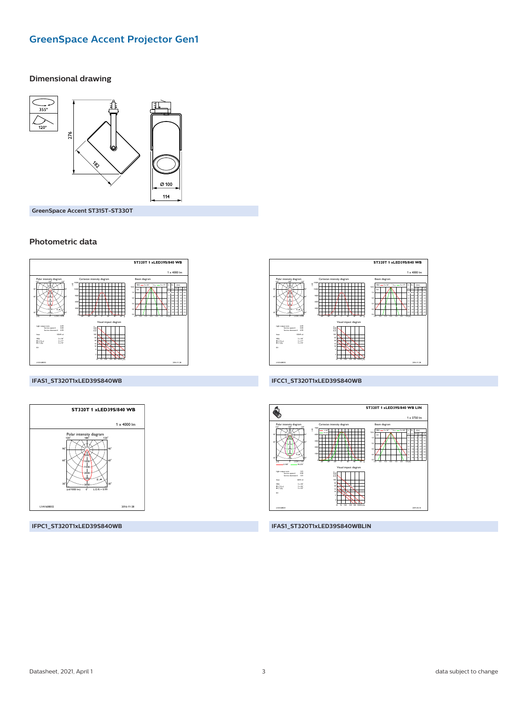# **GreenSpace Accent Projector Gen1**

#### **Dimensional drawing**



GreenSpace Accent ST315T-ST330T

#### Photometric data



#### IFAS1\_ST320T1xLED39S840WB



IFPC1\_ST320T1xLED39S840WB



#### IFCC1\_ST320T1xLED39S840WB



IFAS1\_ST320T1xLED39S840WBLIN